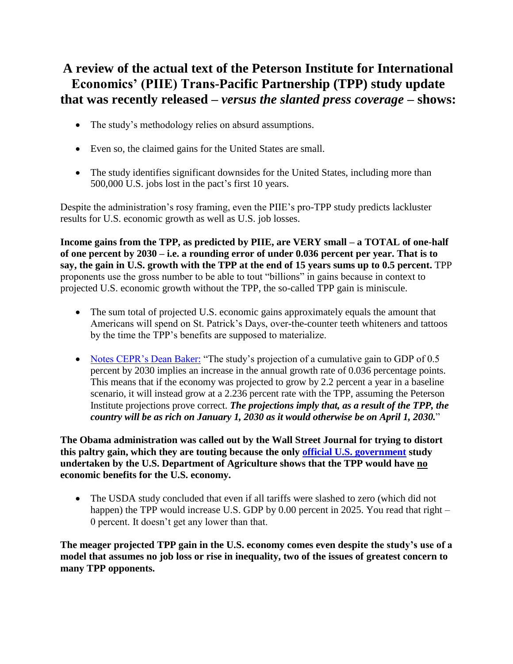## **A review of the actual text of the Peterson Institute for International Economics' (PIIE) Trans-Pacific Partnership (TPP) study update that was recently released –** *versus the slanted press coverage* **– shows:**

- The study's methodology relies on absurd assumptions.
- Even so, the claimed gains for the United States are small.
- The study identifies significant downsides for the United States, including more than 500,000 U.S. jobs lost in the pact's first 10 years.

Despite the administration's rosy framing, even the PIIE's pro-TPP study predicts lackluster results for U.S. economic growth as well as U.S. job losses.

**Income gains from the TPP, as predicted by PIIE, are VERY small – a TOTAL of one-half of one percent by 2030 – i.e. a rounding error of under 0.036 percent per year. That is to say, the gain in U.S. growth with the TPP at the end of 15 years sums up to 0.5 percent.** TPP proponents use the gross number to be able to tout "billions" in gains because in context to projected U.S. economic growth without the TPP, the so-called TPP gain is miniscule.

- The sum total of projected U.S. economic gains approximately equals the amount that Americans will spend on St. Patrick's Days, over-the-counter teeth whiteners and tattoos by the time the TPP's benefits are supposed to materialize.
- [Notes CEPR's Dean](https://medium.com/@DeanBaker13/peterson-institute-study-shows-ttp-will-lead-to-357-billion-increase-in-annual-imports-ac6b432cff23#.st4ubtbpx) Baker: "The study's projection of a cumulative gain to GDP of 0.5 percent by 2030 implies an increase in the annual growth rate of 0.036 percentage points. This means that if the economy was projected to grow by 2.2 percent a year in a baseline scenario, it will instead grow at a 2.236 percent rate with the TPP, assuming the Peterson Institute projections prove correct. *The projections imply that, as a result of the TPP, the country will be as rich on January 1, 2030 as it would otherwise be on April 1, 2030.*"

**The Obama administration was called out by the Wall Street Journal for trying to distort this paltry gain, which they are touting because the only [official U.S. government](http://www.ers.usda.gov/media/1692509/err176.pdf.%20USDA) study undertaken by the U.S. Department of Agriculture shows that the TPP would have no economic benefits for the U.S. economy.**

• The USDA study concluded that even if all tariffs were slashed to zero (which did not happen) the TPP would increase U.S. GDP by 0.00 percent in 2025. You read that right – 0 percent. It doesn't get any lower than that.

**The meager projected TPP gain in the U.S. economy comes even despite the study's use of a model that assumes no job loss or rise in inequality, two of the issues of greatest concern to many TPP opponents.**